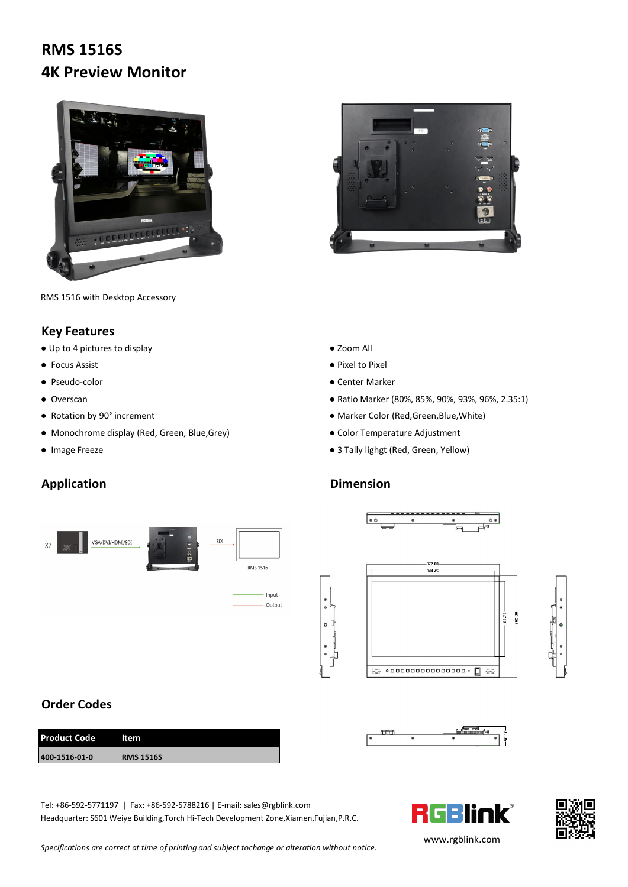# **RMS 1516S 4K Preview Monitor**





RMS 1516 with Desktop Accessory

### **Key Features**

● Up to 4 pictures to display ● Zoom All

- 
- 
- 
- 
- Monochrome display (Red, Green, Blue, Grey) <br>● Color Temperature Adjustment
- 

## **Application Dimension**





- Focus Assist Pixel to Pixel to Pixel to Pixel to Pixel to Pixel to Pixel to Pixel to Pixel to Pixel to Pixel to Pixel to Pixel to Pixel to Pixel to Pixel to Pixel to Pixel to Pixel to Pixel to Pixel to Pixel to Pixel
- Pseudo-color Pseudo-color Center Marker
- Overscan Natio Marker (80%, 85%, 90%, 93%, 96%, 2.35:1)
- Rotation by 90° increment <br>● Marker Color (Red,Green,Blue,White)
	-
- Image Freeze 3 Tally lighgt (Red, Green, Yellow)





### **Order Codes**

| <b>Product Code</b> | ltem              |
|---------------------|-------------------|
| 400-1516-01-0       | <b>IRMS 1516S</b> |







Tel: +86-592-5771197 | Fax: +86-592-5788216 | E-mail: sales@rgblink.com<br>Headquarter: S601 Weiye Building,Torch Hi-Tech Development Zone,Xiamen,Fujian,P.R.C. Headquarter: S601 Weiye Building,Torch Hi-Tech Development Zone,Xiamen,Fujian,P.R.C.

*Specifications are correct at time of printing and subject tochange or alteration without notice.*